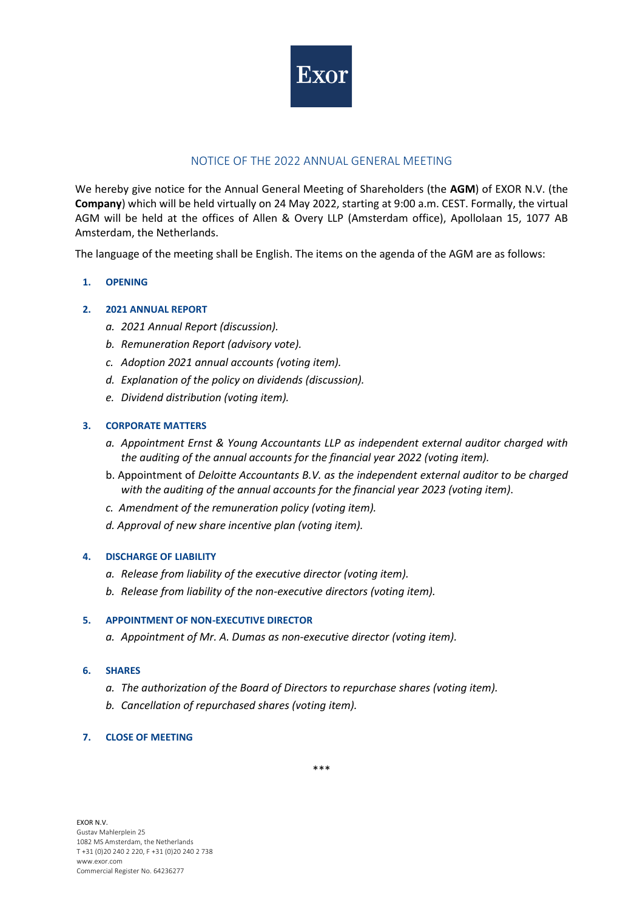

# NOTICE OF THE 2022 ANNUAL GENERAL MEETING

We hereby give notice for the Annual General Meeting of Shareholders (the **AGM**) of EXOR N.V. (the **Company**) which will be held virtually on 24 May 2022, starting at 9:00 a.m. CEST. Formally, the virtual AGM will be held at the offices of Allen & Overy LLP (Amsterdam office), Apollolaan 15, 1077 AB Amsterdam, the Netherlands.

The language of the meeting shall be English. The items on the agenda of the AGM are as follows:

### **1. OPENING**

### **2. 2021 ANNUAL REPORT**

- *a. 2021 Annual Report (discussion).*
- *b. Remuneration Report (advisory vote).*
- *c. Adoption 2021 annual accounts (voting item).*
- *d. Explanation of the policy on dividends (discussion).*
- *e. Dividend distribution (voting item).*

### **3. CORPORATE MATTERS**

- *a. Appointment Ernst & Young Accountants LLP as independent external auditor charged with the auditing of the annual accounts for the financial year 2022 (voting item).*
- b. Appointment of *Deloitte Accountants B.V. as the independent external auditor to be charged with the auditing of the annual accounts for the financial year 2023 (voting item)*.
- *c. Amendment of the remuneration policy (voting item).*
- *d. Approval of new share incentive plan (voting item).*

### **4. DISCHARGE OF LIABILITY**

- *a. Release from liability of the executive director (voting item).*
- *b. Release from liability of the non-executive directors (voting item).*

### **5. APPOINTMENT OF NON-EXECUTIVE DIRECTOR**

*a. Appointment of Mr. A. Dumas as non-executive director (voting item).*

#### **6. SHARES**

- *a. The authorization of the Board of Directors to repurchase shares (voting item).*
- *b. Cancellation of repurchased shares (voting item).*

### **7. CLOSE OF MEETING**

\*\*\*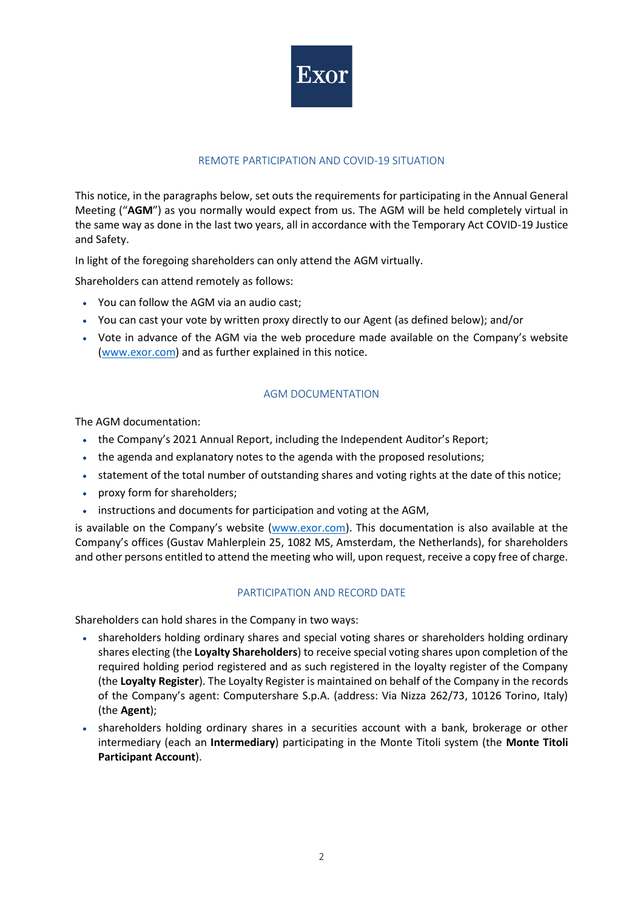

# REMOTE PARTICIPATION AND COVID-19 SITUATION

This notice, in the paragraphs below, set outs the requirements for participating in the Annual General Meeting ("**AGM**") as you normally would expect from us. The AGM will be held completely virtual in the same way as done in the last two years, all in accordance with the Temporary Act COVID-19 Justice and Safety.

In light of the foregoing shareholders can only attend the AGM virtually.

Shareholders can attend remotely as follows:

- You can follow the AGM via an audio cast;
- You can cast your vote by written proxy directly to our Agent (as defined below); and/or
- Vote in advance of the AGM via the web procedure made available on the Company's website [\(www.exor.com\)](http://www.exor.com/) and as further explained in this notice.

### AGM DOCUMENTATION

The AGM documentation:

- the Company's 2021 Annual Report, including the Independent Auditor's Report;
- the agenda and explanatory notes to the agenda with the proposed resolutions;
- statement of the total number of outstanding shares and voting rights at the date of this notice;
- proxy form for shareholders;
- instructions and documents for participation and voting at the AGM,

is available on the Company's website ([www.exor.com\)](http://www.exor.com/). This documentation is also available at the Company's offices (Gustav Mahlerplein 25, 1082 MS, Amsterdam, the Netherlands), for shareholders and other persons entitled to attend the meeting who will, upon request, receive a copy free of charge.

### PARTICIPATION AND RECORD DATE

Shareholders can hold shares in the Company in two ways:

- shareholders holding ordinary shares and special voting shares or shareholders holding ordinary shares electing (the **Loyalty Shareholders**) to receive special voting shares upon completion of the required holding period registered and as such registered in the loyalty register of the Company (the **Loyalty Register**). The Loyalty Register is maintained on behalf of the Company in the records of the Company's agent: Computershare S.p.A. (address: Via Nizza 262/73, 10126 Torino, Italy) (the **Agent**);
- shareholders holding ordinary shares in a securities account with a bank, brokerage or other intermediary (each an **Intermediary**) participating in the Monte Titoli system (the **Monte Titoli Participant Account**).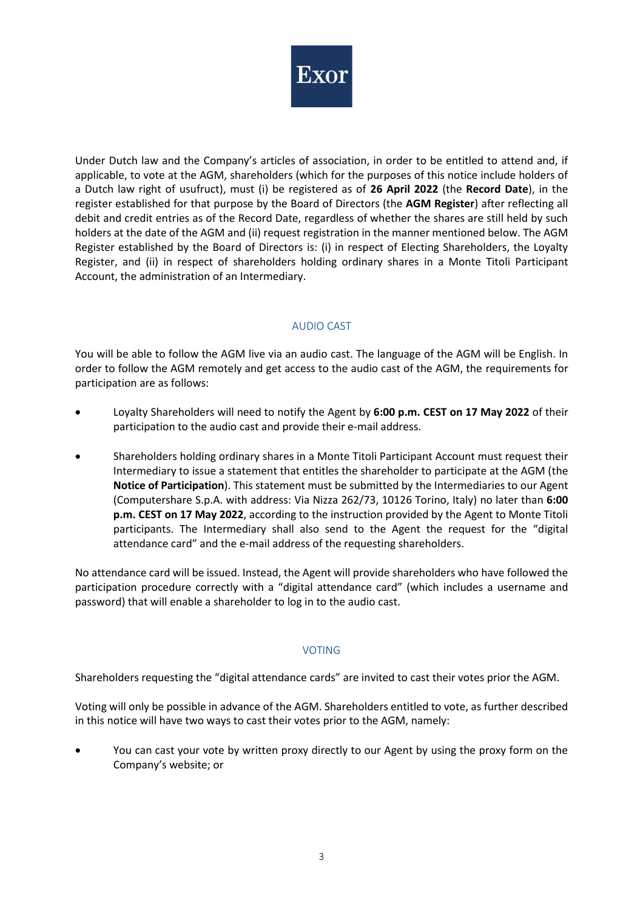

Under Dutch law and the Company's articles of association, in order to be entitled to attend and, if applicable, to vote at the AGM, shareholders (which for the purposes of this notice include holders of a Dutch law right of usufruct), must (i) be registered as of **26 April 2022** (the **Record Date**), in the register established for that purpose by the Board of Directors (the **AGM Register**) after reflecting all debit and credit entries as of the Record Date, regardless of whether the shares are still held by such holders at the date of the AGM and (ii) request registration in the manner mentioned below. The AGM Register established by the Board of Directors is: (i) in respect of Electing Shareholders, the Loyalty Register, and (ii) in respect of shareholders holding ordinary shares in a Monte Titoli Participant Account, the administration of an Intermediary.

### AUDIO CAST

You will be able to follow the AGM live via an audio cast. The language of the AGM will be English. In order to follow the AGM remotely and get access to the audio cast of the AGM, the requirements for participation are as follows:

- Loyalty Shareholders will need to notify the Agent by **6:00 p.m. CEST on 17 May 2022** of their participation to the audio cast and provide their e-mail address.
- Shareholders holding ordinary shares in a Monte Titoli Participant Account must request their Intermediary to issue a statement that entitles the shareholder to participate at the AGM (the **Notice of Participation**). This statement must be submitted by the Intermediaries to our Agent (Computershare S.p.A. with address: Via Nizza 262/73, 10126 Torino, Italy) no later than **6:00 p.m. CEST on 17 May 2022**, according to the instruction provided by the Agent to Monte Titoli participants. The Intermediary shall also send to the Agent the request for the "digital attendance card" and the e-mail address of the requesting shareholders.

No attendance card will be issued. Instead, the Agent will provide shareholders who have followed the participation procedure correctly with a "digital attendance card" (which includes a username and password) that will enable a shareholder to log in to the audio cast.

# VOTING

Shareholders requesting the "digital attendance cards" are invited to cast their votes prior the AGM.

Voting will only be possible in advance of the AGM. Shareholders entitled to vote, as further described in this notice will have two ways to cast their votes prior to the AGM, namely:

• You can cast your vote by written proxy directly to our Agent by using the proxy form on the Company's website; or